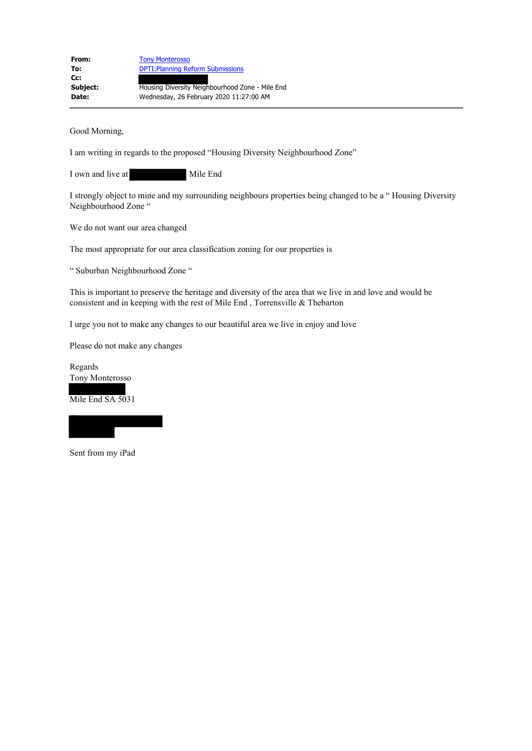| From:        | <b>Tony Monterosso</b>                          |
|--------------|-------------------------------------------------|
| To:          | <b>DPTI: Planning Reform Submissions</b>        |
| $Cc$ :       |                                                 |
| Subject:     | Housing Diversity Neighbourhood Zone - Mile End |
| <b>Date:</b> | Wednesday, 26 February 2020 11:27:00 AM         |

Good Morning,

I am writing in regards to the proposed "Housing Diversity Neighbourhood Zone"

I own and live at Mile End

I strongly object to mine and my surrounding neighbours properties being changed to be a " Housing Diversity Neighbourhood Zone "

We do not want our area changed

The most appropriate for our area classification zoning for our properties is

" Suburban Neighbourhood Zone "

This is important to preserve the heritage and diversity of the area that we live in and love and would be consistent and in keeping with the rest of Mile End , Torrensville & Thebarton

I urge you not to make any changes to our beautiful area we live in enjoy and love

Please do not make any changes

Regards Tony Monterosso

Mile End SA 5031